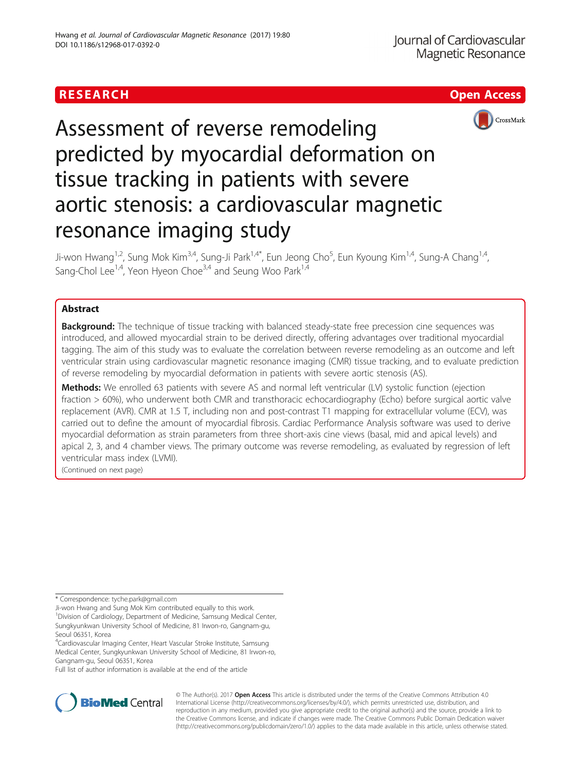

# Assessment of reverse remodeling predicted by myocardial deformation on tissue tracking in patients with severe aortic stenosis: a cardiovascular magnetic resonance imaging study

Ji-won Hwang<sup>1,2</sup>, Sung Mok Kim<sup>3,4</sup>, Sung-Ji Park<sup>1,4\*</sup>, Eun Jeong Cho<sup>5</sup>, Eun Kyoung Kim<sup>1,4</sup>, Sung-A Chang<sup>1,4</sup>, Sang-Chol Lee<sup>1,4</sup>, Yeon Hyeon Choe<sup>3,4</sup> and Seung Woo Park<sup>1,4</sup>

## Abstract

**Background:** The technique of tissue tracking with balanced steady-state free precession cine sequences was introduced, and allowed myocardial strain to be derived directly, offering advantages over traditional myocardial tagging. The aim of this study was to evaluate the correlation between reverse remodeling as an outcome and left ventricular strain using cardiovascular magnetic resonance imaging (CMR) tissue tracking, and to evaluate prediction of reverse remodeling by myocardial deformation in patients with severe aortic stenosis (AS).

Methods: We enrolled 63 patients with severe AS and normal left ventricular (LV) systolic function (ejection fraction > 60%), who underwent both CMR and transthoracic echocardiography (Echo) before surgical aortic valve replacement (AVR). CMR at 1.5 T, including non and post-contrast T1 mapping for extracellular volume (ECV), was carried out to define the amount of myocardial fibrosis. Cardiac Performance Analysis software was used to derive myocardial deformation as strain parameters from three short-axis cine views (basal, mid and apical levels) and apical 2, 3, and 4 chamber views. The primary outcome was reverse remodeling, as evaluated by regression of left ventricular mass index (LVMI).

(Continued on next page)

\* Correspondence: [tyche.park@gmail.com](mailto:tyche.park@gmail.com)

Ji-won Hwang and Sung Mok Kim contributed equally to this work. <sup>1</sup> Division of Cardiology, Department of Medicine, Samsung Medical Center, Sungkyunkwan University School of Medicine, 81 Irwon-ro, Gangnam-gu, Seoul 06351, Korea

<sup>4</sup>Cardiovascular Imaging Center, Heart Vascular Stroke Institute, Samsung Medical Center, Sungkyunkwan University School of Medicine, 81 Irwon-ro, Gangnam-gu, Seoul 06351, Korea

Full list of author information is available at the end of the article



© The Author(s). 2017 **Open Access** This article is distributed under the terms of the Creative Commons Attribution 4.0 International License [\(http://creativecommons.org/licenses/by/4.0/](http://creativecommons.org/licenses/by/4.0/)), which permits unrestricted use, distribution, and reproduction in any medium, provided you give appropriate credit to the original author(s) and the source, provide a link to the Creative Commons license, and indicate if changes were made. The Creative Commons Public Domain Dedication waiver [\(http://creativecommons.org/publicdomain/zero/1.0/](http://creativecommons.org/publicdomain/zero/1.0/)) applies to the data made available in this article, unless otherwise stated.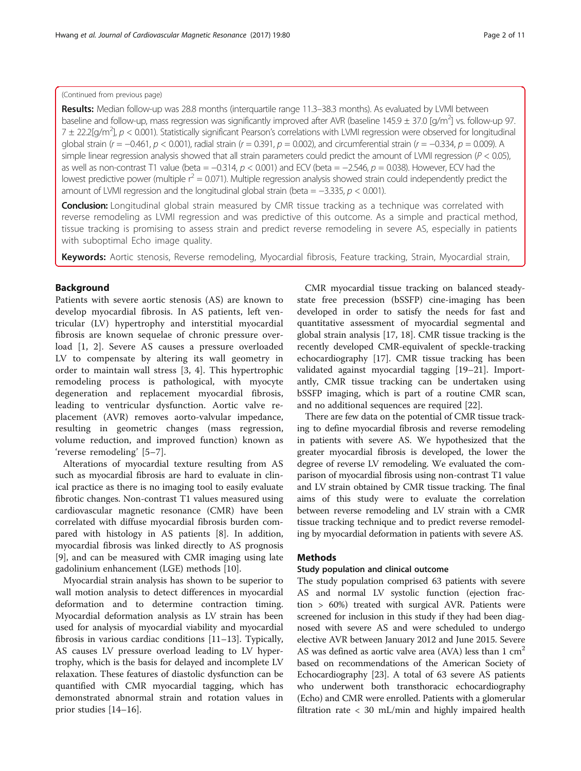## (Continued from previous page)

Results: Median follow-up was 28.8 months (interquartile range 11.3–38.3 months). As evaluated by LVMI between baseline and follow-up, mass regression was significantly improved after AVR (baseline 145.9  $\pm$  37.0 [g/m<sup>2</sup>] vs. follow-up 97.  $7 \pm 22.2$ [g/m<sup>2</sup>],  $p < 0.001$ ). Statistically significant Pearson's correlations with LVMI regression were observed for longitudinal global strain (r = -0.461,  $p < 0.001$ ), radial strain (r = 0.391,  $p = 0.002$ ), and circumferential strain (r = -0.334,  $p = 0.009$ ). A simple linear regression analysis showed that all strain parameters could predict the amount of LVMI regression ( $P < 0.05$ ), as well as non-contrast T1 value (beta =  $-0.314$ ,  $p < 0.001$ ) and ECV (beta =  $-2.546$ ,  $p = 0.038$ ). However, ECV had the lowest predictive power (multiple  $r^2$  = 0.071). Multiple regression analysis showed strain could independently predict the amount of LVMI regression and the longitudinal global strain (beta =  $-3.335$ ,  $p < 0.001$ ).

**Conclusion:** Longitudinal global strain measured by CMR tissue tracking as a technique was correlated with reverse remodeling as LVMI regression and was predictive of this outcome. As a simple and practical method, tissue tracking is promising to assess strain and predict reverse remodeling in severe AS, especially in patients with suboptimal Echo image quality.

Keywords: Aortic stenosis, Reverse remodeling, Myocardial fibrosis, Feature tracking, Strain, Myocardial strain,

## Background

Patients with severe aortic stenosis (AS) are known to develop myocardial fibrosis. In AS patients, left ventricular (LV) hypertrophy and interstitial myocardial fibrosis are known sequelae of chronic pressure overload [\[1](#page-9-0), [2\]](#page-9-0). Severe AS causes a pressure overloaded LV to compensate by altering its wall geometry in order to maintain wall stress [\[3](#page-9-0), [4\]](#page-9-0). This hypertrophic remodeling process is pathological, with myocyte degeneration and replacement myocardial fibrosis, leading to ventricular dysfunction. Aortic valve replacement (AVR) removes aorto-valvular impedance, resulting in geometric changes (mass regression, volume reduction, and improved function) known as 'reverse remodeling' [[5](#page-9-0)–[7\]](#page-9-0).

Alterations of myocardial texture resulting from AS such as myocardial fibrosis are hard to evaluate in clinical practice as there is no imaging tool to easily evaluate fibrotic changes. Non-contrast T1 values measured using cardiovascular magnetic resonance (CMR) have been correlated with diffuse myocardial fibrosis burden compared with histology in AS patients [\[8](#page-9-0)]. In addition, myocardial fibrosis was linked directly to AS prognosis [[9\]](#page-9-0), and can be measured with CMR imaging using late gadolinium enhancement (LGE) methods [\[10](#page-9-0)].

Myocardial strain analysis has shown to be superior to wall motion analysis to detect differences in myocardial deformation and to determine contraction timing. Myocardial deformation analysis as LV strain has been used for analysis of myocardial viability and myocardial fibrosis in various cardiac conditions [[11](#page-9-0)–[13](#page-9-0)]. Typically, AS causes LV pressure overload leading to LV hypertrophy, which is the basis for delayed and incomplete LV relaxation. These features of diastolic dysfunction can be quantified with CMR myocardial tagging, which has demonstrated abnormal strain and rotation values in prior studies [\[14](#page-9-0)–[16\]](#page-9-0).

CMR myocardial tissue tracking on balanced steadystate free precession (bSSFP) cine-imaging has been developed in order to satisfy the needs for fast and quantitative assessment of myocardial segmental and global strain analysis [[17, 18\]](#page-9-0). CMR tissue tracking is the recently developed CMR-equivalent of speckle-tracking echocardiography [[17](#page-9-0)]. CMR tissue tracking has been validated against myocardial tagging [[19](#page-9-0)–[21\]](#page-9-0). Importantly, CMR tissue tracking can be undertaken using bSSFP imaging, which is part of a routine CMR scan, and no additional sequences are required [[22\]](#page-9-0).

There are few data on the potential of CMR tissue tracking to define myocardial fibrosis and reverse remodeling in patients with severe AS. We hypothesized that the greater myocardial fibrosis is developed, the lower the degree of reverse LV remodeling. We evaluated the comparison of myocardial fibrosis using non-contrast T1 value and LV strain obtained by CMR tissue tracking. The final aims of this study were to evaluate the correlation between reverse remodeling and LV strain with a CMR tissue tracking technique and to predict reverse remodeling by myocardial deformation in patients with severe AS.

## **Methods**

#### Study population and clinical outcome

The study population comprised 63 patients with severe AS and normal LV systolic function (ejection fraction > 60%) treated with surgical AVR. Patients were screened for inclusion in this study if they had been diagnosed with severe AS and were scheduled to undergo elective AVR between January 2012 and June 2015. Severe AS was defined as aortic valve area (AVA) less than  $1 \text{ cm}^2$ based on recommendations of the American Society of Echocardiography [\[23\]](#page-9-0). A total of 63 severe AS patients who underwent both transthoracic echocardiography (Echo) and CMR were enrolled. Patients with a glomerular filtration rate < 30 mL/min and highly impaired health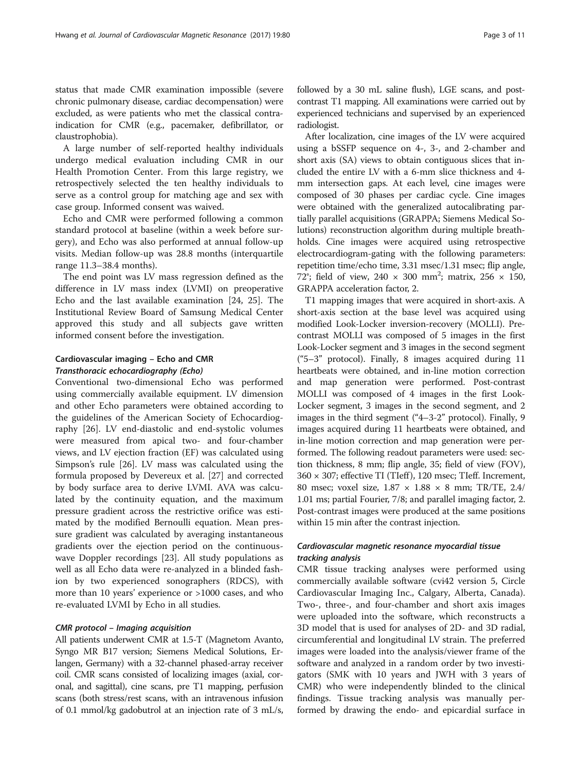status that made CMR examination impossible (severe chronic pulmonary disease, cardiac decompensation) were excluded, as were patients who met the classical contraindication for CMR (e.g., pacemaker, defibrillator, or claustrophobia).

A large number of self-reported healthy individuals undergo medical evaluation including CMR in our Health Promotion Center. From this large registry, we retrospectively selected the ten healthy individuals to serve as a control group for matching age and sex with case group. Informed consent was waived.

Echo and CMR were performed following a common standard protocol at baseline (within a week before surgery), and Echo was also performed at annual follow-up visits. Median follow-up was 28.8 months (interquartile range 11.3–38.4 months).

The end point was LV mass regression defined as the difference in LV mass index (LVMI) on preoperative Echo and the last available examination [\[24](#page-9-0), [25](#page-9-0)]. The Institutional Review Board of Samsung Medical Center approved this study and all subjects gave written informed consent before the investigation.

## Cardiovascular imaging – Echo and CMR Transthoracic echocardiography (Echo)

Conventional two-dimensional Echo was performed using commercially available equipment. LV dimension and other Echo parameters were obtained according to the guidelines of the American Society of Echocardiography [\[26\]](#page-9-0). LV end-diastolic and end-systolic volumes were measured from apical two- and four-chamber views, and LV ejection fraction (EF) was calculated using Simpson's rule [\[26](#page-9-0)]. LV mass was calculated using the formula proposed by Devereux et al. [[27](#page-9-0)] and corrected by body surface area to derive LVMI. AVA was calculated by the continuity equation, and the maximum pressure gradient across the restrictive orifice was estimated by the modified Bernoulli equation. Mean pressure gradient was calculated by averaging instantaneous gradients over the ejection period on the continuouswave Doppler recordings [[23\]](#page-9-0). All study populations as well as all Echo data were re-analyzed in a blinded fashion by two experienced sonographers (RDCS), with more than 10 years' experience or >1000 cases, and who re-evaluated LVMI by Echo in all studies.

## CMR protocol – Imaging acquisition

All patients underwent CMR at 1.5-T (Magnetom Avanto, Syngo MR B17 version; Siemens Medical Solutions, Erlangen, Germany) with a 32-channel phased-array receiver coil. CMR scans consisted of localizing images (axial, coronal, and sagittal), cine scans, pre T1 mapping, perfusion scans (both stress/rest scans, with an intravenous infusion of 0.1 mmol/kg gadobutrol at an injection rate of 3 mL/s, followed by a 30 mL saline flush), LGE scans, and postcontrast T1 mapping. All examinations were carried out by experienced technicians and supervised by an experienced radiologist.

After localization, cine images of the LV were acquired using a bSSFP sequence on 4-, 3-, and 2-chamber and short axis (SA) views to obtain contiguous slices that included the entire LV with a 6-mm slice thickness and 4 mm intersection gaps. At each level, cine images were composed of 30 phases per cardiac cycle. Cine images were obtained with the generalized autocalibrating partially parallel acquisitions (GRAPPA; Siemens Medical Solutions) reconstruction algorithm during multiple breathholds. Cine images were acquired using retrospective electrocardiogram-gating with the following parameters: repetition time/echo time, 3.31 msec/1.31 msec; flip angle, 72°; field of view, 240  $\times$  300 mm<sup>2</sup>; matrix, 256  $\times$  150, GRAPPA acceleration factor, 2.

T1 mapping images that were acquired in short-axis. A short-axis section at the base level was acquired using modified Look-Locker inversion-recovery (MOLLI). Precontrast MOLLI was composed of 5 images in the first Look-Locker segment and 3 images in the second segment ("5–3" protocol). Finally, 8 images acquired during 11 heartbeats were obtained, and in-line motion correction and map generation were performed. Post-contrast MOLLI was composed of 4 images in the first Look-Locker segment, 3 images in the second segment, and 2 images in the third segment ("4–3-2" protocol). Finally, 9 images acquired during 11 heartbeats were obtained, and in-line motion correction and map generation were performed. The following readout parameters were used: section thickness, 8 mm; flip angle, 35; field of view (FOV),  $360 \times 307$ ; effective TI (TIeff), 120 msec; TIeff. Increment, 80 msec; voxel size, 1.87 × 1.88 × 8 mm; TR/TE, 2.4/ 1.01 ms; partial Fourier, 7/8; and parallel imaging factor, 2. Post-contrast images were produced at the same positions within 15 min after the contrast injection.

## Cardiovascular magnetic resonance myocardial tissue tracking analysis

CMR tissue tracking analyses were performed using commercially available software (cvi42 version 5, Circle Cardiovascular Imaging Inc., Calgary, Alberta, Canada). Two-, three-, and four-chamber and short axis images were uploaded into the software, which reconstructs a 3D model that is used for analyses of 2D- and 3D radial, circumferential and longitudinal LV strain. The preferred images were loaded into the analysis/viewer frame of the software and analyzed in a random order by two investigators (SMK with 10 years and JWH with 3 years of CMR) who were independently blinded to the clinical findings. Tissue tracking analysis was manually performed by drawing the endo- and epicardial surface in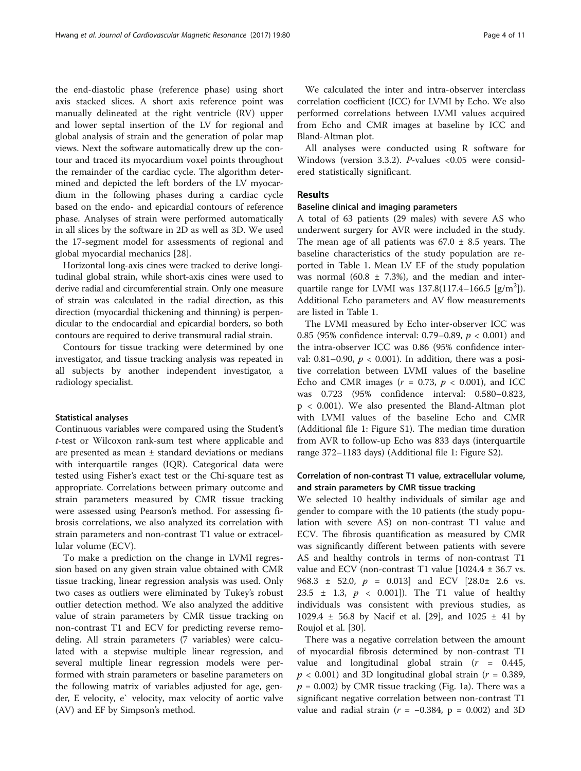the end-diastolic phase (reference phase) using short axis stacked slices. A short axis reference point was manually delineated at the right ventricle (RV) upper and lower septal insertion of the LV for regional and global analysis of strain and the generation of polar map views. Next the software automatically drew up the contour and traced its myocardium voxel points throughout the remainder of the cardiac cycle. The algorithm determined and depicted the left borders of the LV myocardium in the following phases during a cardiac cycle based on the endo- and epicardial contours of reference phase. Analyses of strain were performed automatically in all slices by the software in 2D as well as 3D. We used the 17-segment model for assessments of regional and global myocardial mechanics [[28\]](#page-10-0).

Horizontal long-axis cines were tracked to derive longitudinal global strain, while short-axis cines were used to derive radial and circumferential strain. Only one measure of strain was calculated in the radial direction, as this direction (myocardial thickening and thinning) is perpendicular to the endocardial and epicardial borders, so both contours are required to derive transmural radial strain.

Contours for tissue tracking were determined by one investigator, and tissue tracking analysis was repeated in all subjects by another independent investigator, a radiology specialist.

#### Statistical analyses

Continuous variables were compared using the Student's t-test or Wilcoxon rank-sum test where applicable and are presented as mean ± standard deviations or medians with interquartile ranges (IQR). Categorical data were tested using Fisher's exact test or the Chi-square test as appropriate. Correlations between primary outcome and strain parameters measured by CMR tissue tracking were assessed using Pearson's method. For assessing fibrosis correlations, we also analyzed its correlation with strain parameters and non-contrast T1 value or extracellular volume (ECV).

To make a prediction on the change in LVMI regression based on any given strain value obtained with CMR tissue tracking, linear regression analysis was used. Only two cases as outliers were eliminated by Tukey's robust outlier detection method. We also analyzed the additive value of strain parameters by CMR tissue tracking on non-contrast T1 and ECV for predicting reverse remodeling. All strain parameters (7 variables) were calculated with a stepwise multiple linear regression, and several multiple linear regression models were performed with strain parameters or baseline parameters on the following matrix of variables adjusted for age, gender, E velocity, e` velocity, max velocity of aortic valve (AV) and EF by Simpson's method.

We calculated the inter and intra-observer interclass correlation coefficient (ICC) for LVMI by Echo. We also performed correlations between LVMI values acquired from Echo and CMR images at baseline by ICC and Bland-Altman plot.

All analyses were conducted using R software for Windows (version 3.3.2).  $P$ -values <0.05 were considered statistically significant.

## Results

#### Baseline clinical and imaging parameters

A total of 63 patients (29 males) with severe AS who underwent surgery for AVR were included in the study. The mean age of all patients was  $67.0 \pm 8.5$  years. The baseline characteristics of the study population are reported in Table [1.](#page-4-0) Mean LV EF of the study population was normal (60.8  $\pm$  7.3%), and the median and interquartile range for LVMI was  $137.8(117.4 - 166.5 [g/m<sup>2</sup>])$ . Additional Echo parameters and AV flow measurements are listed in Table [1.](#page-4-0)

The LVMI measured by Echo inter-observer ICC was 0.85 (95% confidence interval: 0.79–0.89,  $p < 0.001$ ) and the intra-observer ICC was 0.86 (95% confidence interval: 0.81–0.90,  $p < 0.001$ ). In addition, there was a positive correlation between LVMI values of the baseline Echo and CMR images ( $r = 0.73$ ,  $p < 0.001$ ), and ICC was 0.723 (95% confidence interval: 0.580–0.823, p < 0.001). We also presented the Bland-Altman plot with LVMI values of the baseline Echo and CMR (Additional file [1](#page-8-0): Figure S1). The median time duration from AVR to follow-up Echo was 833 days (interquartile range 372–1183 days) (Additional file [1:](#page-8-0) Figure S2).

## Correlation of non-contrast T1 value, extracellular volume, and strain parameters by CMR tissue tracking

We selected 10 healthy individuals of similar age and gender to compare with the 10 patients (the study population with severe AS) on non-contrast T1 value and ECV. The fibrosis quantification as measured by CMR was significantly different between patients with severe AS and healthy controls in terms of non-contrast T1 value and ECV (non-contrast T1 value  $[1024.4 \pm 36.7 \text{ vs.}$ ) 968.3 ± 52.0, p = 0.013] and ECV [28.0± 2.6 vs. 23.5  $\pm$  1.3,  $p \le 0.001$ ). The T1 value of healthy individuals was consistent with previous studies, as 1029.4  $\pm$  56.8 by Nacif et al. [\[29](#page-10-0)], and 1025  $\pm$  41 by Roujol et al. [[30\]](#page-10-0).

There was a negative correlation between the amount of myocardial fibrosis determined by non-contrast T1 value and longitudinal global strain  $(r = 0.445,$  $p < 0.001$ ) and 3D longitudinal global strain ( $r = 0.389$ ,  $p = 0.002$ ) by CMR tissue tracking (Fig. [1a](#page-4-0)). There was a significant negative correlation between non-contrast T1 value and radial strain ( $r = -0.384$ ,  $p = 0.002$ ) and 3D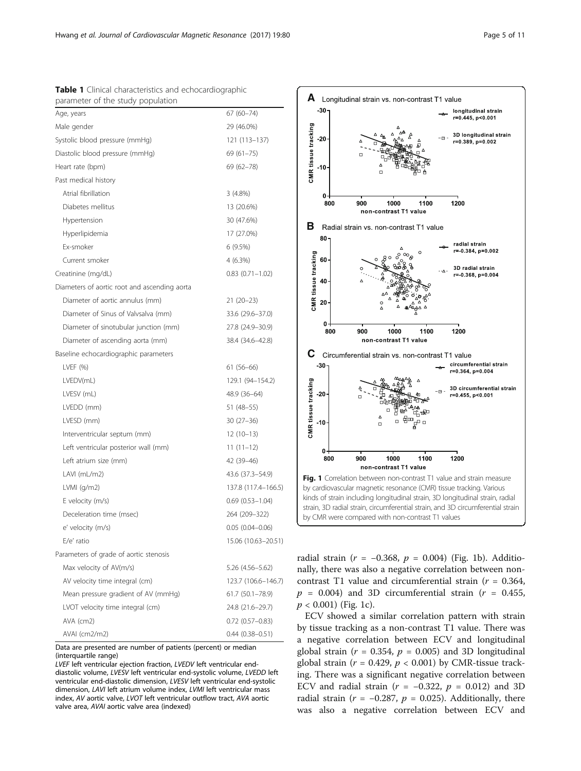<span id="page-4-0"></span>

|  | Table 1 Clinical characteristics and echocardiographic               |  |  |
|--|----------------------------------------------------------------------|--|--|
|  | المتحافظ والمتحدث والمتحدث والمتحدث والفائل والمتحدث ومتحدث والمتحدث |  |  |

| parameter of the study population            |                        |
|----------------------------------------------|------------------------|
| Age, years                                   | 67 (60-74)             |
| Male gender                                  | 29 (46.0%)             |
| Systolic blood pressure (mmHg)               | 121 (113-137)          |
| Diastolic blood pressure (mmHg)              | 69 (61-75)             |
| Heart rate (bpm)                             | 69 (62-78)             |
| Past medical history                         |                        |
| Atrial fibrillation                          | $3(4.8\%)$             |
| Diabetes mellitus                            | 13 (20.6%)             |
| Hypertension                                 | 30 (47.6%)             |
| Hyperlipidemia                               | 17 (27.0%)             |
| Ex-smoker                                    | 6 (9.5%)               |
| Current smoker                               | 4(6.3%)                |
| Creatinine (mg/dL)                           | $0.83$ $(0.71 - 1.02)$ |
| Diameters of aortic root and ascending aorta |                        |
| Diameter of aortic annulus (mm)              | $21(20-23)$            |
| Diameter of Sinus of Valvsalva (mm)          | 33.6 (29.6-37.0)       |
| Diameter of sinotubular junction (mm)        | 27.8 (24.9-30.9)       |
| Diameter of ascending aorta (mm)             | 38.4 (34.6-42.8)       |
| Baseline echocardiographic parameters        |                        |
| LVEF $(%)$                                   | $61(56-66)$            |
| LVEDV(mL)                                    | 129.1 (94-154.2)       |
| LVESV (mL)                                   | 48.9 (36-64)           |
| LVEDD (mm)                                   | 51 (48-55)             |
| LVESD (mm)                                   | $30(27-36)$            |
| Interventricular septum (mm)                 | $12(10-13)$            |
| Left ventricular posterior wall (mm)         | $11(11-12)$            |
| Left atrium size (mm)                        | 42 (39-46)             |
| LAVI (mL/m2)                                 | 43.6 (37.3–54.9)       |
| LVMI (g/m2)                                  | 137.8 (117.4-166.5)    |
| E velocity (m/s)                             | $0.69(0.53 - 1.04)$    |
| Deceleration time (msec)                     | 264 (209-322)          |
| e' velocity (m/s)                            | $0.05(0.04 - 0.06)$    |
| $E/e'$ ratio                                 | 15.06 (10.63-20.51)    |
| Parameters of grade of aortic stenosis       |                        |
| Max velocity of AV(m/s)                      | 5.26 (4.56-5.62)       |
| AV velocity time integral (cm)               | 123.7 (106.6-146.7)    |
| Mean pressure gradient of AV (mmHg)          | 61.7 (50.1-78.9)       |
| LVOT velocity time integral (cm)             | 24.8 (21.6-29.7)       |
| AVA (cm2)                                    | $0.72$ (0.57-0.83)     |
| AVAI (cm2/m2)                                | $0.44(0.38 - 0.51)$    |

Data are presented are number of patients (percent) or median (interquartile range)

LVEF left ventricular ejection fraction, LVEDV left ventricular enddiastolic volume, LVESV left ventricular end-systolic volume, LVEDD left ventricular end-diastolic dimension, LVESV left ventricular end-systolic dimension, LAVI left atrium volume index, LVMI left ventricular mass index, AV aortic valve, LVOT left ventricular outflow tract, AVA aortic valve area, AVAI aortic valve area (indexed)



radial strain ( $r = -0.368$ ,  $p = 0.004$ ) (Fig. 1b). Additionally, there was also a negative correlation between noncontrast T1 value and circumferential strain ( $r = 0.364$ ,  $p = 0.004$ ) and 3D circumferential strain ( $r = 0.455$ ,  $p < 0.001$ ) (Fig. 1c).

ECV showed a similar correlation pattern with strain by tissue tracking as a non-contrast T1 value. There was a negative correlation between ECV and longitudinal global strain ( $r = 0.354$ ,  $p = 0.005$ ) and 3D longitudinal global strain ( $r = 0.429$ ,  $p < 0.001$ ) by CMR-tissue tracking. There was a significant negative correlation between ECV and radial strain ( $r = -0.322$ ,  $p = 0.012$ ) and 3D radial strain ( $r = -0.287$ ,  $p = 0.025$ ). Additionally, there was also a negative correlation between ECV and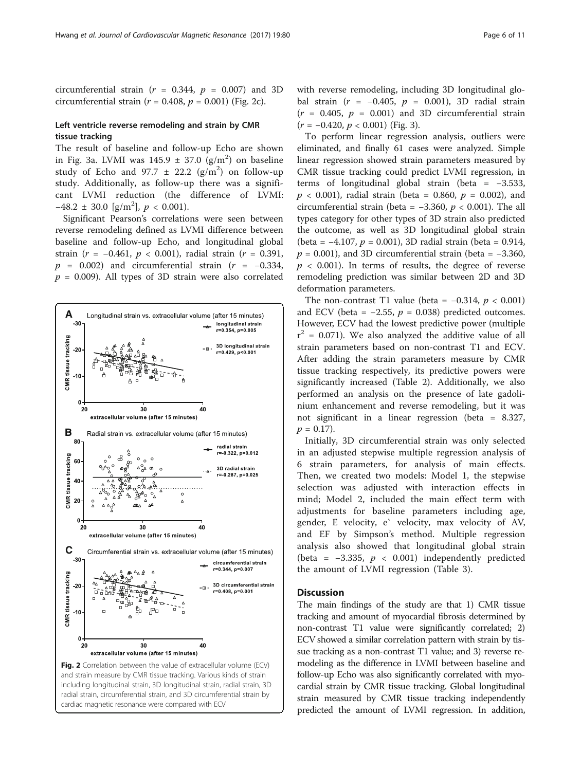circumferential strain ( $r = 0.344$ ,  $p = 0.007$ ) and 3D circumferential strain ( $r = 0.408$ ,  $p = 0.001$ ) (Fig. 2c).

## Left ventricle reverse remodeling and strain by CMR tissue tracking

The result of baseline and follow-up Echo are shown in Fig. [3a.](#page-6-0) LVMI was  $145.9 \pm 37.0$  (g/m<sup>2</sup>) on baseline study of Echo and  $97.7 \pm 22.2$  (g/m<sup>2</sup>) on follow-up study. Additionally, as follow-up there was a significant LVMI reduction (the difference of LVMI:  $-48.2 \pm 30.0 \text{ [g/m}^2\text{]}, p < 0.001\text{)}.$ 

Significant Pearson's correlations were seen between reverse remodeling defined as LVMI difference between baseline and follow-up Echo, and longitudinal global strain ( $r = -0.461$ ,  $p < 0.001$ ), radial strain ( $r = 0.391$ ,  $p = 0.002$ ) and circumferential strain ( $r = -0.334$ ,  $p = 0.009$ ). All types of 3D strain were also correlated



cardiac magnetic resonance were compared with ECV

with reverse remodeling, including 3D longitudinal global strain ( $r = -0.405$ ,  $p = 0.001$ ), 3D radial strain  $(r = 0.405, p = 0.001)$  and 3D circumferential strain  $(r = -0.420, p < 0.001)$  (Fig. [3\)](#page-6-0).

To perform linear regression analysis, outliers were eliminated, and finally 61 cases were analyzed. Simple linear regression showed strain parameters measured by CMR tissue tracking could predict LVMI regression, in terms of longitudinal global strain (beta = −3.533,  $p$  < 0.001), radial strain (beta = 0.860,  $p$  = 0.002), and circumferential strain (beta =  $-3.360$ ,  $p < 0.001$ ). The all types category for other types of 3D strain also predicted the outcome, as well as 3D longitudinal global strain (beta = −4.107, p = 0.001), 3D radial strain (beta = 0.914,  $p = 0.001$ ), and 3D circumferential strain (beta = -3.360,  $p$  < 0.001). In terms of results, the degree of reverse remodeling prediction was similar between 2D and 3D deformation parameters.

The non-contrast T1 value (beta =  $-0.314$ ,  $p < 0.001$ ) and ECV (beta =  $-2.55$ ,  $p = 0.038$ ) predicted outcomes. However, ECV had the lowest predictive power (multiple  $r^2$  = 0.071). We also analyzed the additive value of all strain parameters based on non-contrast T1 and ECV. After adding the strain parameters measure by CMR tissue tracking respectively, its predictive powers were significantly increased (Table [2\)](#page-7-0). Additionally, we also performed an analysis on the presence of late gadolinium enhancement and reverse remodeling, but it was not significant in a linear regression (beta = 8.327,  $p = 0.17$ .

Initially, 3D circumferential strain was only selected in an adjusted stepwise multiple regression analysis of 6 strain parameters, for analysis of main effects. Then, we created two models: Model 1, the stepwise selection was adjusted with interaction effects in mind; Model 2, included the main effect term with adjustments for baseline parameters including age, gender, E velocity, e` velocity, max velocity of AV, and EF by Simpson's method. Multiple regression analysis also showed that longitudinal global strain (beta =  $-3.335$ ,  $p < 0.001$ ) independently predicted the amount of LVMI regression (Table [3](#page-7-0)).

## **Discussion**

The main findings of the study are that 1) CMR tissue tracking and amount of myocardial fibrosis determined by non-contrast T1 value were significantly correlated; 2) ECV showed a similar correlation pattern with strain by tissue tracking as a non-contrast T1 value; and 3) reverse remodeling as the difference in LVMI between baseline and follow-up Echo was also significantly correlated with myocardial strain by CMR tissue tracking. Global longitudinal strain measured by CMR tissue tracking independently predicted the amount of LVMI regression. In addition,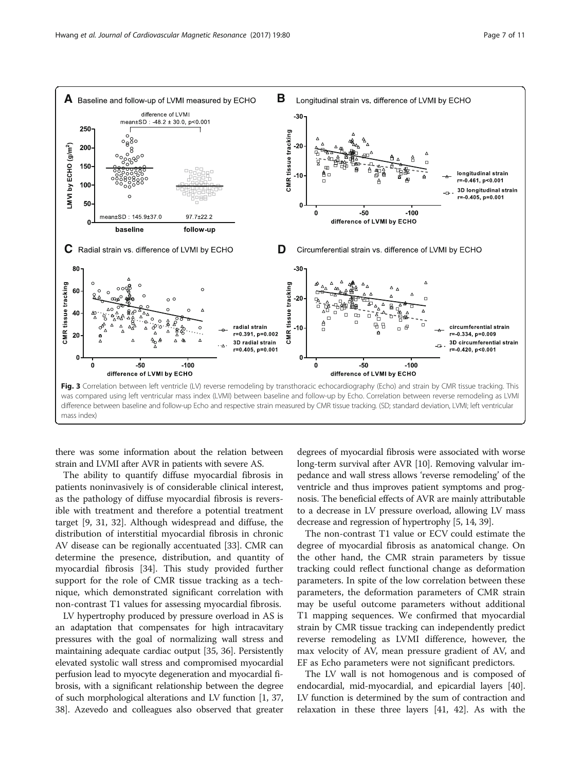<span id="page-6-0"></span>

there was some information about the relation between strain and LVMI after AVR in patients with severe AS.

The ability to quantify diffuse myocardial fibrosis in patients noninvasively is of considerable clinical interest, as the pathology of diffuse myocardial fibrosis is reversible with treatment and therefore a potential treatment target [\[9](#page-9-0), [31](#page-10-0), [32](#page-10-0)]. Although widespread and diffuse, the distribution of interstitial myocardial fibrosis in chronic AV disease can be regionally accentuated [[33\]](#page-10-0). CMR can determine the presence, distribution, and quantity of myocardial fibrosis [\[34](#page-10-0)]. This study provided further support for the role of CMR tissue tracking as a technique, which demonstrated significant correlation with non-contrast T1 values for assessing myocardial fibrosis.

LV hypertrophy produced by pressure overload in AS is an adaptation that compensates for high intracavitary pressures with the goal of normalizing wall stress and maintaining adequate cardiac output [[35](#page-10-0), [36](#page-10-0)]. Persistently elevated systolic wall stress and compromised myocardial perfusion lead to myocyte degeneration and myocardial fibrosis, with a significant relationship between the degree of such morphological alterations and LV function [\[1](#page-9-0), [37](#page-10-0), [38](#page-10-0)]. Azevedo and colleagues also observed that greater

degrees of myocardial fibrosis were associated with worse long-term survival after AVR [\[10](#page-9-0)]. Removing valvular impedance and wall stress allows 'reverse remodeling' of the ventricle and thus improves patient symptoms and prognosis. The beneficial effects of AVR are mainly attributable to a decrease in LV pressure overload, allowing LV mass decrease and regression of hypertrophy [\[5](#page-9-0), [14,](#page-9-0) [39\]](#page-10-0).

The non-contrast T1 value or ECV could estimate the degree of myocardial fibrosis as anatomical change. On the other hand, the CMR strain parameters by tissue tracking could reflect functional change as deformation parameters. In spite of the low correlation between these parameters, the deformation parameters of CMR strain may be useful outcome parameters without additional T1 mapping sequences. We confirmed that myocardial strain by CMR tissue tracking can independently predict reverse remodeling as LVMI difference, however, the max velocity of AV, mean pressure gradient of AV, and EF as Echo parameters were not significant predictors.

The LV wall is not homogenous and is composed of endocardial, mid-myocardial, and epicardial layers [[40](#page-10-0)]. LV function is determined by the sum of contraction and relaxation in these three layers [\[41, 42](#page-10-0)]. As with the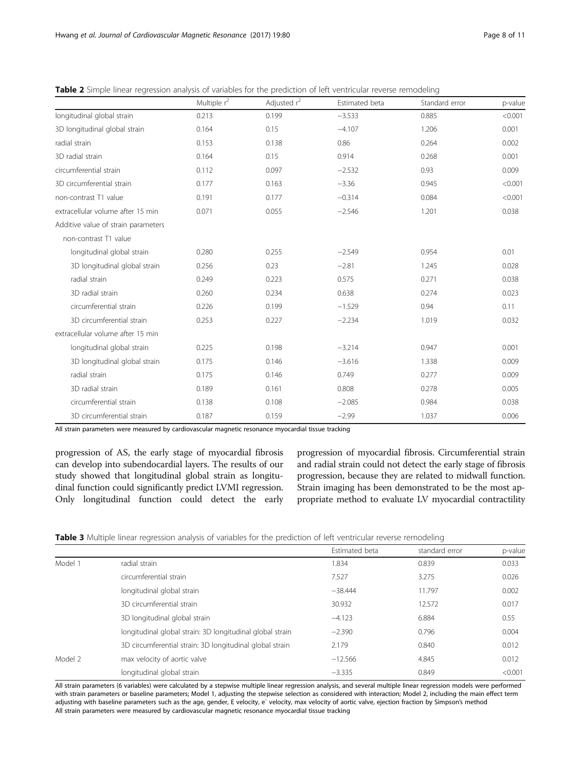|                                     | Multiple r <sup>2</sup> | Adjusted $r^2$ | Estimated beta | Standard error | p-value |
|-------------------------------------|-------------------------|----------------|----------------|----------------|---------|
| longitudinal global strain          | 0.213                   | 0.199          | $-3.533$       | 0.885          | < 0.001 |
| 3D longitudinal global strain       | 0.164                   | 0.15           | $-4.107$       | 1.206          | 0.001   |
| radial strain                       | 0.153                   | 0.138          | 0.86           | 0.264          | 0.002   |
| 3D radial strain                    | 0.164                   | 0.15           | 0.914          | 0.268          | 0.001   |
| circumferential strain              | 0.112                   | 0.097          | $-2.532$       | 0.93           | 0.009   |
| 3D circumferential strain           | 0.177                   | 0.163          | $-3.36$        | 0.945          | < 0.001 |
| non-contrast T1 value               | 0.191                   | 0.177          | $-0.314$       | 0.084          | < 0.001 |
| extracellular volume after 15 min   | 0.071                   | 0.055          | $-2.546$       | 1.201          | 0.038   |
| Additive value of strain parameters |                         |                |                |                |         |
| non-contrast T1 value               |                         |                |                |                |         |
| longitudinal global strain          | 0.280                   | 0.255          | $-2.549$       | 0.954          | 0.01    |
| 3D longitudinal global strain       | 0.256                   | 0.23           | $-2.81$        | 1.245          | 0.028   |
| radial strain                       | 0.249                   | 0.223          | 0.575          | 0.271          | 0.038   |
| 3D radial strain                    | 0.260                   | 0.234          | 0.638          | 0.274          | 0.023   |
| circumferential strain              | 0.226                   | 0.199          | $-1.529$       | 0.94           | 0.11    |
| 3D circumferential strain           | 0.253                   | 0.227          | $-2.234$       | 1.019          | 0.032   |
| extracellular volume after 15 min   |                         |                |                |                |         |
| longitudinal global strain          | 0.225                   | 0.198          | $-3.214$       | 0.947          | 0.001   |
| 3D longitudinal global strain       | 0.175                   | 0.146          | $-3.616$       | 1.338          | 0.009   |
| radial strain                       | 0.175                   | 0.146          | 0.749          | 0.277          | 0.009   |
| 3D radial strain                    | 0.189                   | 0.161          | 0.808          | 0.278          | 0.005   |
| circumferential strain              | 0.138                   | 0.108          | $-2.085$       | 0.984          | 0.038   |
| 3D circumferential strain           | 0.187                   | 0.159          | $-2.99$        | 1.037          | 0.006   |

<span id="page-7-0"></span>Table 2 Simple linear regression analysis of variables for the prediction of left ventricular reverse remodeling

All strain parameters were measured by cardiovascular magnetic resonance myocardial tissue tracking

progression of AS, the early stage of myocardial fibrosis can develop into subendocardial layers. The results of our study showed that longitudinal global strain as longitudinal function could significantly predict LVMI regression. Only longitudinal function could detect the early progression of myocardial fibrosis. Circumferential strain and radial strain could not detect the early stage of fibrosis progression, because they are related to midwall function. Strain imaging has been demonstrated to be the most appropriate method to evaluate LV myocardial contractility

| <b>Table 3</b> Multiple linear regression analysis of variables for the prediction of left ventricular reverse remodeling |  |  |  |  |
|---------------------------------------------------------------------------------------------------------------------------|--|--|--|--|
|                                                                                                                           |  |  |  |  |

|         |                                                           | Estimated beta | standard error | p-value |
|---------|-----------------------------------------------------------|----------------|----------------|---------|
| Model 1 | radial strain                                             | 1.834          | 0.839          | 0.033   |
|         | circumferential strain                                    | 7.527          | 3.275          | 0.026   |
|         | longitudinal global strain                                | $-38.444$      | 11.797         | 0.002   |
|         | 3D circumferential strain                                 | 30.932         | 12.572         | 0.017   |
|         | 3D longitudinal global strain                             | $-4.123$       | 6.884          | 0.55    |
|         | longitudinal global strain: 3D longitudinal global strain | $-2.390$       | 0.796          | 0.004   |
|         | 3D circumferential strain: 3D longitudinal global strain  | 2.179          | 0.840          | 0.012   |
| Model 2 | max velocity of aortic valve                              | $-12.566$      | 4.845          | 0.012   |
|         | longitudinal global strain                                | $-3.335$       | 0.849          | < 0.001 |

All strain parameters (6 variables) were calculated by a stepwise multiple linear regression analysis, and several multiple linear regression models were performed with strain parameters or baseline parameters; Model 1, adjusting the stepwise selection as considered with interaction; Model 2, including the main effect term adjusting with baseline parameters such as the age, gender, E velocity, e` velocity, max velocity of aortic valve, ejection fraction by Simpson's method All strain parameters were measured by cardiovascular magnetic resonance myocardial tissue tracking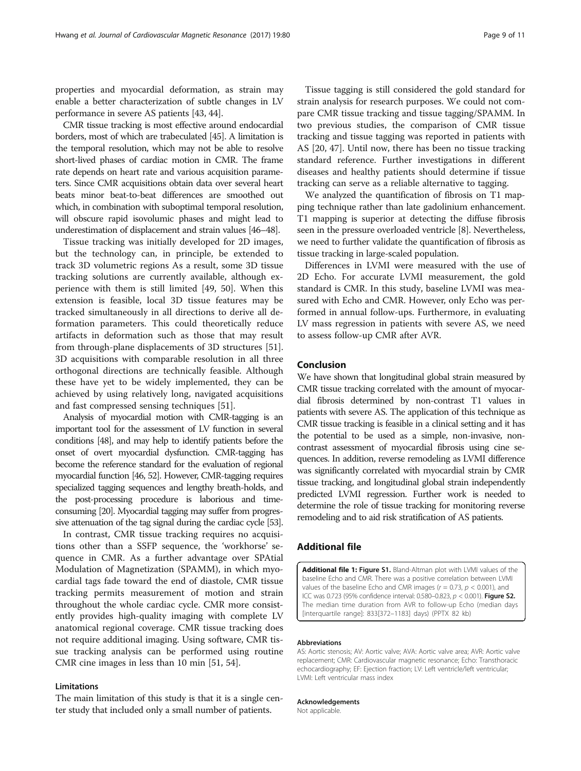<span id="page-8-0"></span>properties and myocardial deformation, as strain may enable a better characterization of subtle changes in LV performance in severe AS patients [[43](#page-10-0), [44\]](#page-10-0).

CMR tissue tracking is most effective around endocardial borders, most of which are trabeculated [[45](#page-10-0)]. A limitation is the temporal resolution, which may not be able to resolve short-lived phases of cardiac motion in CMR. The frame rate depends on heart rate and various acquisition parameters. Since CMR acquisitions obtain data over several heart beats minor beat-to-beat differences are smoothed out which, in combination with suboptimal temporal resolution, will obscure rapid isovolumic phases and might lead to underestimation of displacement and strain values [[46](#page-10-0)–[48](#page-10-0)].

Tissue tracking was initially developed for 2D images, but the technology can, in principle, be extended to track 3D volumetric regions As a result, some 3D tissue tracking solutions are currently available, although experience with them is still limited [[49, 50](#page-10-0)]. When this extension is feasible, local 3D tissue features may be tracked simultaneously in all directions to derive all deformation parameters. This could theoretically reduce artifacts in deformation such as those that may result from through-plane displacements of 3D structures [\[51](#page-10-0)]. 3D acquisitions with comparable resolution in all three orthogonal directions are technically feasible. Although these have yet to be widely implemented, they can be achieved by using relatively long, navigated acquisitions and fast compressed sensing techniques [\[51](#page-10-0)].

Analysis of myocardial motion with CMR-tagging is an important tool for the assessment of LV function in several conditions [\[48](#page-10-0)], and may help to identify patients before the onset of overt myocardial dysfunction. CMR-tagging has become the reference standard for the evaluation of regional myocardial function [\[46](#page-10-0), [52\]](#page-10-0). However, CMR-tagging requires specialized tagging sequences and lengthy breath-holds, and the post-processing procedure is laborious and timeconsuming [\[20](#page-9-0)]. Myocardial tagging may suffer from progressive attenuation of the tag signal during the cardiac cycle [\[53\]](#page-10-0).

In contrast, CMR tissue tracking requires no acquisitions other than a SSFP sequence, the 'workhorse' sequence in CMR. As a further advantage over SPAtial Modulation of Magnetization (SPAMM), in which myocardial tags fade toward the end of diastole, CMR tissue tracking permits measurement of motion and strain throughout the whole cardiac cycle. CMR more consistently provides high-quality imaging with complete LV anatomical regional coverage. CMR tissue tracking does not require additional imaging. Using software, CMR tissue tracking analysis can be performed using routine CMR cine images in less than 10 min [[51, 54](#page-10-0)].

## Limitations

The main limitation of this study is that it is a single center study that included only a small number of patients.

Tissue tagging is still considered the gold standard for strain analysis for research purposes. We could not compare CMR tissue tracking and tissue tagging/SPAMM. In two previous studies, the comparison of CMR tissue tracking and tissue tagging was reported in patients with AS [\[20,](#page-9-0) [47\]](#page-10-0). Until now, there has been no tissue tracking standard reference. Further investigations in different diseases and healthy patients should determine if tissue tracking can serve as a reliable alternative to tagging.

We analyzed the quantification of fibrosis on T1 mapping technique rather than late gadolinium enhancement. T1 mapping is superior at detecting the diffuse fibrosis seen in the pressure overloaded ventricle [[8\]](#page-9-0). Nevertheless, we need to further validate the quantification of fibrosis as tissue tracking in large-scaled population.

Differences in LVMI were measured with the use of 2D Echo. For accurate LVMI measurement, the gold standard is CMR. In this study, baseline LVMI was measured with Echo and CMR. However, only Echo was performed in annual follow-ups. Furthermore, in evaluating LV mass regression in patients with severe AS, we need to assess follow-up CMR after AVR.

## Conclusion

We have shown that longitudinal global strain measured by CMR tissue tracking correlated with the amount of myocardial fibrosis determined by non-contrast T1 values in patients with severe AS. The application of this technique as CMR tissue tracking is feasible in a clinical setting and it has the potential to be used as a simple, non-invasive, noncontrast assessment of myocardial fibrosis using cine sequences. In addition, reverse remodeling as LVMI difference was significantly correlated with myocardial strain by CMR tissue tracking, and longitudinal global strain independently predicted LVMI regression. Further work is needed to determine the role of tissue tracking for monitoring reverse remodeling and to aid risk stratification of AS patients.

## Additional file

[Additional file 1:](dx.doi.org/10.1186/s12968-017-0392-0) Figure S1. Bland-Altman plot with LVMI values of the baseline Echo and CMR. There was a positive correlation between LVMI values of the baseline Echo and CMR images ( $r = 0.73$ ,  $p < 0.001$ ), and ICC was 0.723 (95% confidence interval: 0.580-0.823,  $p < 0.001$ ). Figure S2. The median time duration from AVR to follow-up Echo (median days [interquartile range]: 833[372–1183] days) (PPTX 82 kb)

#### Abbreviations

AS: Aortic stenosis; AV: Aortic valve; AVA: Aortic valve area; AVR: Aortic valve replacement; CMR: Cardiovascular magnetic resonance; Echo: Transthoracic echocardiography; EF: Ejection fraction; LV: Left ventricle/left ventricular; LVMI: Left ventricular mass index

#### Acknowledgements

Not applicable.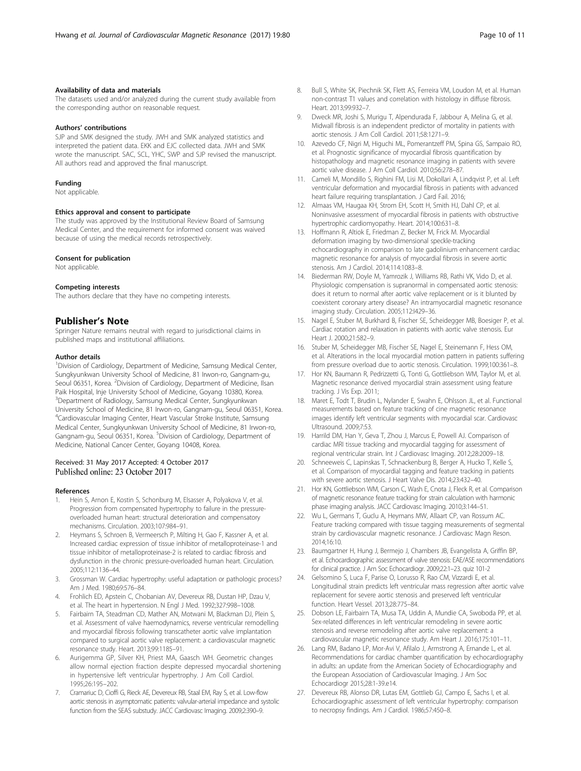#### <span id="page-9-0"></span>Availability of data and materials

The datasets used and/or analyzed during the current study available from the corresponding author on reasonable request.

#### Authors' contributions

SJP and SMK designed the study. JWH and SMK analyzed statistics and interpreted the patient data. EKK and EJC collected data. JWH and SMK wrote the manuscript. SAC, SCL, YHC, SWP and SJP revised the manuscript. All authors read and approved the final manuscript.

#### Funding

Not applicable.

#### Ethics approval and consent to participate

The study was approved by the Institutional Review Board of Samsung Medical Center, and the requirement for informed consent was waived because of using the medical records retrospectively.

#### Consent for publication

Not applicable.

#### Competing interests

The authors declare that they have no competing interests.

#### Publisher's Note

Springer Nature remains neutral with regard to jurisdictional claims in published maps and institutional affiliations.

#### Author details

<sup>1</sup> Division of Cardiology, Department of Medicine, Samsung Medical Center, Sungkyunkwan University School of Medicine, 81 Irwon-ro, Gangnam-gu, Seoul 06351, Korea. <sup>2</sup>Division of Cardiology, Department of Medicine, Ilsan Paik Hospital, Inje University School of Medicine, Goyang 10380, Korea. 3 Department of Radiology, Samsung Medical Center, Sungkyunkwan University School of Medicine, 81 Irwon-ro, Gangnam-gu, Seoul 06351, Korea. 4 Cardiovascular Imaging Center, Heart Vascular Stroke Institute, Samsung Medical Center, Sungkyunkwan University School of Medicine, 81 Irwon-ro, Gangnam-gu, Seoul 06351, Korea. <sup>5</sup>Division of Cardiology, Department of Medicine, National Cancer Center, Goyang 10408, Korea.

#### Received: 31 May 2017 Accepted: 4 October 2017 Published online: 23 October 2017

#### References

- 1. Hein S, Arnon E, Kostin S, Schonburg M, Elsasser A, Polyakova V, et al. Progression from compensated hypertrophy to failure in the pressureoverloaded human heart: structural deterioration and compensatory mechanisms. Circulation. 2003;107:984–91.
- 2. Heymans S, Schroen B, Vermeersch P, Milting H, Gao F, Kassner A, et al. Increased cardiac expression of tissue inhibitor of metalloproteinase-1 and tissue inhibitor of metalloproteinase-2 is related to cardiac fibrosis and dysfunction in the chronic pressure-overloaded human heart. Circulation. 2005;112:1136–44.
- 3. Grossman W. Cardiac hypertrophy: useful adaptation or pathologic process? Am J Med. 1980;69:576–84.
- 4. Frohlich ED, Apstein C, Chobanian AV, Devereux RB, Dustan HP, Dzau V, et al. The heart in hypertension. N Engl J Med. 1992;327:998–1008.
- 5. Fairbairn TA, Steadman CD, Mather AN, Motwani M, Blackman DJ, Plein S, et al. Assessment of valve haemodynamics, reverse ventricular remodelling and myocardial fibrosis following transcatheter aortic valve implantation compared to surgical aortic valve replacement: a cardiovascular magnetic resonance study. Heart. 2013;99:1185–91.
- 6. Aurigemma GP, Silver KH, Priest MA, Gaasch WH. Geometric changes allow normal ejection fraction despite depressed myocardial shortening in hypertensive left ventricular hypertrophy. J Am Coll Cardiol. 1995;26:195–202.
- 7. Cramariuc D, Cioffi G, Rieck AE, Devereux RB, Staal EM, Ray S, et al. Low-flow aortic stenosis in asymptomatic patients: valvular-arterial impedance and systolic function from the SEAS substudy. JACC Cardiovasc Imaging. 2009;2:390–9.
- 8. Bull S, White SK, Piechnik SK, Flett AS, Ferreira VM, Loudon M, et al. Human non-contrast T1 values and correlation with histology in diffuse fibrosis. Heart. 2013;99:932–7.
- 9. Dweck MR, Joshi S, Murigu T, Alpendurada F, Jabbour A, Melina G, et al. Midwall fibrosis is an independent predictor of mortality in patients with aortic stenosis. J Am Coll Cardiol. 2011;58:1271–9.
- 10. Azevedo CF, Nigri M, Higuchi ML, Pomerantzeff PM, Spina GS, Sampaio RO, et al. Prognostic significance of myocardial fibrosis quantification by histopathology and magnetic resonance imaging in patients with severe aortic valve disease. J Am Coll Cardiol. 2010;56:278–87.
- 11. Cameli M, Mondillo S, Righini FM, Lisi M, Dokollari A, Lindqvist P, et al. Left ventricular deformation and myocardial fibrosis in patients with advanced heart failure requiring transplantation. J Card Fail. 2016;
- 12. Almaas VM, Haugaa KH, Strom EH, Scott H, Smith HJ, Dahl CP, et al. Noninvasive assessment of myocardial fibrosis in patients with obstructive hypertrophic cardiomyopathy. Heart. 2014;100:631–8.
- 13. Hoffmann R, Altiok E, Friedman Z, Becker M, Frick M. Myocardial deformation imaging by two-dimensional speckle-tracking echocardiography in comparison to late gadolinium enhancement cardiac magnetic resonance for analysis of myocardial fibrosis in severe aortic stenosis. Am J Cardiol. 2014;114:1083–8.
- 14. Biederman RW, Doyle M, Yamrozik J, Williams RB, Rathi VK, Vido D, et al. Physiologic compensation is supranormal in compensated aortic stenosis: does it return to normal after aortic valve replacement or is it blunted by coexistent coronary artery disease? An intramyocardial magnetic resonance imaging study. Circulation. 2005;112:I429–36.
- 15. Nagel E, Stuber M, Burkhard B, Fischer SE, Scheidegger MB, Boesiger P, et al. Cardiac rotation and relaxation in patients with aortic valve stenosis. Eur Heart J. 2000;21:582–9.
- 16. Stuber M, Scheidegger MB, Fischer SE, Nagel E, Steinemann F, Hess OM, et al. Alterations in the local myocardial motion pattern in patients suffering from pressure overload due to aortic stenosis. Circulation. 1999;100:361–8.
- 17. Hor KN, Baumann R, Pedrizzetti G, Tonti G, Gottliebson WM, Taylor M, et al. Magnetic resonance derived myocardial strain assessment using feature tracking. J Vis Exp. 2011;
- 18. Maret E, Todt T, Brudin L, Nylander E, Swahn E, Ohlsson JL, et al. Functional measurements based on feature tracking of cine magnetic resonance images identify left ventricular segments with myocardial scar. Cardiovasc Ultrasound. 2009;7:53.
- 19. Harrild DM, Han Y, Geva T, Zhou J, Marcus E, Powell AJ. Comparison of cardiac MRI tissue tracking and myocardial tagging for assessment of regional ventricular strain. Int J Cardiovasc Imaging. 2012;28:2009–18.
- 20. Schneeweis C, Lapinskas T, Schnackenburg B, Berger A, Hucko T, Kelle S, et al. Comparison of myocardial tagging and feature tracking in patients with severe aortic stenosis. J Heart Valve Dis. 2014;23:432–40.
- 21. Hor KN, Gottliebson WM, Carson C, Wash E, Cnota J, Fleck R, et al. Comparison of magnetic resonance feature tracking for strain calculation with harmonic phase imaging analysis. JACC Cardiovasc Imaging. 2010;3:144–51.
- 22. Wu L, Germans T, Guclu A, Heymans MW, Allaart CP, van Rossum AC. Feature tracking compared with tissue tagging measurements of segmental strain by cardiovascular magnetic resonance. J Cardiovasc Magn Reson. 2014;16:10.
- 23. Baumgartner H, Hung J, Bermejo J, Chambers JB, Evangelista A, Griffin BP, et al. Echocardiographic assessment of valve stenosis: EAE/ASE recommendations for clinical practice. J Am Soc Echocardiogr. 2009;22:1–23. quiz 101-2
- 24. Gelsomino S, Luca F, Parise O, Lorusso R, Rao CM, Vizzardi E, et al. Longitudinal strain predicts left ventricular mass regression after aortic valve replacement for severe aortic stenosis and preserved left ventricular function. Heart Vessel. 2013;28:775–84.
- 25. Dobson LE, Fairbairn TA, Musa TA, Uddin A, Mundie CA, Swoboda PP, et al. Sex-related differences in left ventricular remodeling in severe aortic stenosis and reverse remodeling after aortic valve replacement: a cardiovascular magnetic resonance study. Am Heart J. 2016;175:101–11.
- 26. Lang RM, Badano LP, Mor-Avi V, Afilalo J, Armstrong A, Ernande L, et al. Recommendations for cardiac chamber quantification by echocardiography in adults: an update from the American Society of Echocardiography and the European Association of Cardiovascular Imaging. J Am Soc Echocardiogr 2015;28:1-39.e14.
- 27. Devereux RB, Alonso DR, Lutas EM, Gottlieb GJ, Campo E, Sachs I, et al. Echocardiographic assessment of left ventricular hypertrophy: comparison to necropsy findings. Am J Cardiol. 1986;57:450–8.